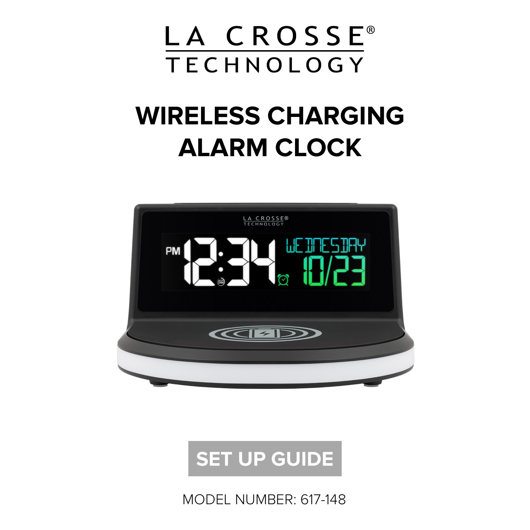

## **WIRELESS CHARGING ALARM CLOCK**





MODEL NUMBER: 617-148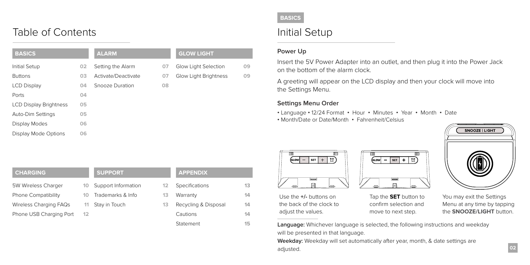## Table of Contents

| <b>BASICS</b>                 |    | <b>ALARM</b>        |    | <b>GLOW LIGHT</b>     |    |
|-------------------------------|----|---------------------|----|-----------------------|----|
| Initial Setup                 | 02 | Setting the Alarm   | 07 | Glow Light Selection  | 09 |
| <b>Buttons</b>                | 03 | Activate/Deactivate | 07 | Glow Light Brightness | 09 |
| <b>LCD Display</b>            | 04 | Snooze Duration     | 08 |                       |    |
| Ports                         | 04 |                     |    |                       |    |
| <b>LCD Display Brightness</b> | 05 |                     |    |                       |    |
| Auto-Dim Settings             | 05 |                     |    |                       |    |
| Display Modes                 | 06 |                     |    |                       |    |
| Display Mode Options          | 06 |                     |    |                       |    |
|                               |    |                     |    |                       |    |

## Initial Setup

#### **Power Up**

Insert the 5V Power Adapter into an outlet, and then plug it into the Power Jack on the bottom of the alarm clock.

A greeting will appear on the LCD display and then your clock will move into the Settings Menu.

#### **Settings Menu Order**

- Language **•** 12/24 Format Hour Minutes Year Month Date
- Month/Date or Date/Month Fahrenheit/Celsius



You may exit the Settings Menu at any time by tapping the **SNOOZE/LIGHT** button.

**[13](#page-7-0)** rranty cycling & Disposal  $t$ itions [Statement](#page-7-0) **[14](#page-8-0) [1](#page-8-0)4 14 15**

**[13](#page-8-0)**



Use the **+/-** buttons on the back of the clock to adjust the values.

Tap the **SET** button to confirm selection and move to next step.

 $G_{LOW}$  -  $\overline{\text{SET}}$  +  $\overline{\text{C}}$ 

Language: Whichever language is selected, the following instructions and weekday will be presented in that language.

Weekday: Weekday will set automatically after year, month, & date settings are adjusted.

## **[CHARGING](#page-6-0)** [5W Wireless Charger](#page-5-0)  [Phone Compatibility](#page-5-0) [Wireless Charging FAQs](#page-5-0) [Phone](#page-6-0) [USB Charging Port](#page-6-0)

**SUPPORT**

Support Inf **Trademark** 11 [Stay in Touch](#page-6-0) **[10](#page-6-0) [10](#page-6-0) 12**

| iformation                                              | 12. | <b>Specifications</b> |
|---------------------------------------------------------|-----|-----------------------|
| <s &="" info<="" td=""><td>13</td><td>Warranty</td></s> | 13  | Warranty              |
| uch                                                     | 13  | Recycling & Di        |
|                                                         |     | Cautions              |
|                                                         |     |                       |

**[APPENDIX](#page-8-0)**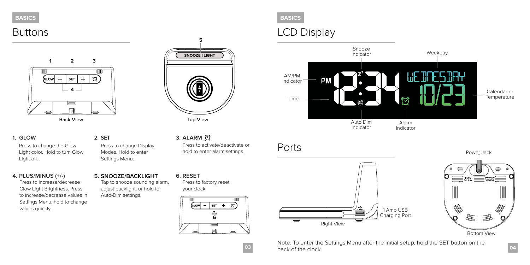<span id="page-2-0"></span>



**1. GLOW**

Press to change the Glow Light color. Hold to turn Glow Light off.

**4. PLUS/MINUS (+/-)** 

Press to increase/decrease Glow Light Brightness. Press to increase/decrease values in Settings Menu, hold to change values quickly.

# **5** SNOOZE | LIGHT Top View

**2. SET 3. ALARM** Press to activate/deactivate or hold to enter alarm settings.

**6. RESET** Tap to snooze sounding alarm, adjust backlight, or hold for Press to factory reset your clock **5. SNOOZE/BACKLIGHT**

Auto-Dim settings.

Press to change Display Modes. Hold to enter Settings Menu.



#### **BASICS BASICS**

## Buttons **LCD** Display



## Ports





**03 back of the clock. Department of the clock D** Note: To enter the Settings Menu after the initial setup, hold the SET button on the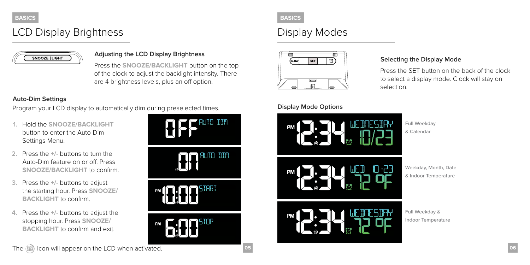## LCD Display Brightness Display Modes



Press the **SNOOZE/BACKLIGHT** button on the top of the clock to adjust the backlight intensity. There are 4 brightness levels, plus an off option.

#### **Auto-Dim Settings**

Program your LCD display to automatically dim during preselected times.

- **1.** Hold the **SNOOZE/BACKLIGHT**  button to enter the Auto-Dim Settings Menu.
- **2.** Press the **+/-** buttons to turn the Auto-Dim feature on or off. Press **SNOOZE/BACKLIGHT** to confirm.
- **3.** Press the **+/-** buttons to adjust the starting hour. Press **SNOOZE/ BACKLIGHT** to confirm.
- **4.** Press the **+/-** buttons to adjust the stopping hour. Press **SNOOZE/ BACKLIGHT** to confirm and exit.



#### <span id="page-3-0"></span>**BASICS BASICS**



#### **Display Mode Options**

# Full Weekday & Calendar

Press the SET button on the back of the clock

to select a display mode. Clock will stay on selection.



Full Weekday & Indoor Temperature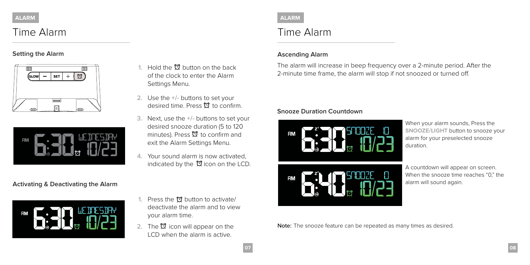## Time Alarm

**Setting the Alarm**





#### **Activating & Deactivating the Alarm**



- **1.** Hold the  $\mathfrak{D}$  button on the back of the clock to enter the Alarm Settings Menu.
- **2.** Use the **+/-** buttons to set your desired time. Press  $\mathfrak V$  to confirm.
- **3.** Next, use the **+/-** buttons to set your desired snooze duration (5 to 120 minutes). Press  $\mathfrak V$  to confirm and exit the Alarm Settings Menu.
- **4.** Your sound alarm is now activated, indicated by the  $\mathfrak A$  icon on the LCD.

- **1.** Press the  $\oslash$  button to activate/ deactivate the alarm and to view your alarm time.
- **2.** The  $\mathfrak{D}$  icon will appear on the LCD when the alarm is active.

<span id="page-4-0"></span>

## Time Alarm

#### **Ascending Alarm**

The alarm will increase in beep frequency over a 2-minute period. After the 2-minute time frame, the alarm will stop if not snoozed or turned off.

#### **Snooze Duration Countdown**





When your alarm sounds, Press the **SNOOZE/LIGHT** button to snooze your alarm for your preselected snooze duration.

A countdown will appear on screen. When the snooze time reaches "0," the alarm will sound again.

Note: The snooze feature can be repeated as many times as desired.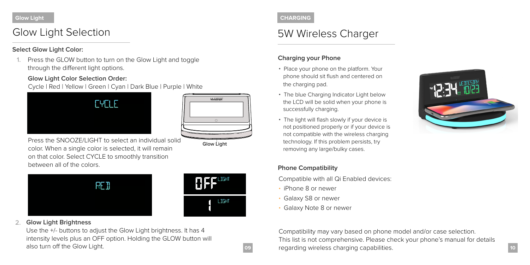#### <span id="page-5-0"></span>**Glow Light**

## Glow Light Selection

#### **Select Glow Light Color:**

**1.** Press the GLOW button to turn on the Glow Light and toggle through the different light options.

#### **Glow Light Color Selection Order:**

Cycle | Red | Yellow | Green | Cyan | Dark Blue | Purple | White



![](_page_5_Picture_7.jpeg)

Glow Light

Press the SNOOZE/LIGHT to select an individual solid color. When a single color is selected, it will remain on that color. Select CYCLE to smoothly transition between all of the colors.

![](_page_5_Picture_9.jpeg)

## **HEFLIGHT** LIGHT

#### **2. Glow Light Brightness**

Use the +/- buttons to adjust the Glow Light brightness. It has 4 intensity levels plus an OFF option. Holding the GLOW button will also turn off the Glow Light.

#### **CHARGING**

## 5W Wireless Charger

#### **Charging your Phone**

- Place your phone on the platform. Your phone should sit flush and centered on the charging pad.
- The blue Charging Indicator Light below the LCD will be solid when your phone is successfully charging.
- The light will flash slowly if your device is not positioned properly or if your device is not compatible with the wireless charging technology. If this problem persists, try removing any large/bulky cases.

![](_page_5_Picture_19.jpeg)

#### **Phone Compatibility**

Compatible with all Qi Enabled devices:

- iPhone 8 or newer
- Galaxy S8 or newer
- Galaxy Note 8 or newer

![](_page_5_Picture_25.jpeg)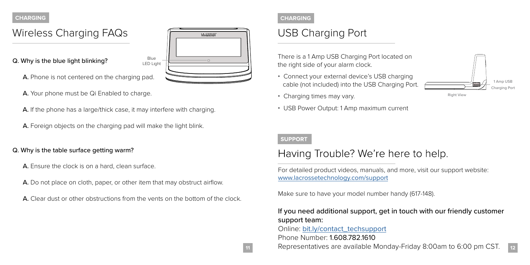## <span id="page-6-0"></span>Wireless Charging FAQs

Q. Why is the blue light blinking?

![](_page_6_Picture_2.jpeg)

- A. Phone is not centered on the charging pad.
- A. Your phone must be Qi Enabled to charge.
- A. If the phone has a large/thick case, it may interfere with charging.

Blue

A. Foreign objects on the charging pad will make the light blink.

#### Q. Why is the table surface getting warm?

- A. Ensure the clock is on a hard, clean surface.
- A. Do not place on cloth, paper, or other item that may obstruct airflow.
- A. Clear dust or other obstructions from the vents on the bottom of the clock.

![](_page_6_Picture_11.jpeg)

## USB Charging Port

There is a 1 Amp USB Charging Port located on the right side of your alarm clock.

- Connect your external device's USB charging cable (not included) into the USB Charging Port.
- Charging times may vary.
- USB Power Output: 1 Amp maximum current

![](_page_6_Figure_17.jpeg)

## Having Trouble? We're here to help.

For detailed product videos, manuals, and more, visit our support website: [www.lacrossetechnology.com/support](http://www.lacrossetechnology.com/support)

Make sure to have your model number handy (617-148).

### If you need additional support, get in touch with our friendly customer support team:

Online: [bit.ly/contact\\_techsupport](http://bit.ly/contact_techsupport) Phone Number: 1.608.782.1610

![](_page_6_Picture_23.jpeg)

1 Amp USB Charging Port

Right View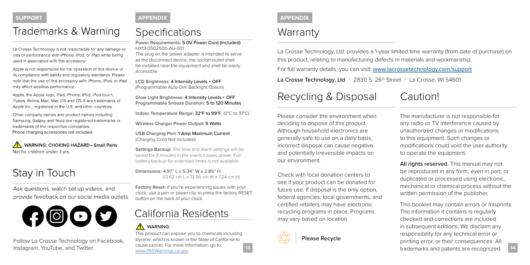#### <span id="page-7-0"></span>**SUPPORT**

## Trademarks & Warning

La Crosse Technology is not responsible for any damage or loss of performance with iPhone, iPod, or iPad while being used in associated with this accessory.

Apple is not responsible for the operation of this device or its compliance with safety and regulatory standards. Please note that the use of this accessory with iPhone, iPod, or iPad may affect wireless performance.

Apple, the Apple logo, iPad, iPhone, iPod, iPod touch, iTunes, Retina, Mac, Mac OS and OS X are trademarks of Apple Inc., registered in the U.S. and other countries.

Other company names and product names including Samsung, Galaxy, and Note are registered trademarks or trademarks of the respective companies. Phone charging accessories not included.

WARNING: CHOKING HAZARD-Small Parts Not for children under 3 yrs.

## Stay in Touch

Ask questions, watch set up videos, and provide feedback on our social media outlets.

![](_page_7_Picture_9.jpeg)

Follow La Crosse Technology on Facebook, Instagram, YouTube, and Twitter.

#### **APPENDIX**

## **Specifications**

**Power Requirements:** 5.0V Power Cord (Included) HX13-0502500-AU-001

The plug on the power adapter is intended to serve as the disconnect device, the socket-outlet shall be installed near the equipment and shall be easily accessible.

**LCD Brightness:** 4 Intensity Levels + OFF (Programmable Auto-Dim Backlight Option)

**Glow Light Brightness:** 4 Intensity Levels + OFF **Programmable Snooze Duration:** 5 to 120 Minutes

**Indoor Temperature Range:** 32°F to 99°F (0°C to 37°C)

**Wireless Charger Power Output:** 5 Watts

**USB Charging Port:** 1 Amp Maximum Current (Charging Cord Not Included)

**Settings Backup:** The time and alarm settings will be saved for 3 minutes in the event it loses power. Full battery backup for extended times is not available.

**Dimensions:** 4.97" L x 5.34" W x 2.85" H (12.62 cm L x 13.56 cm W x 7.24 cm H)

**Factory Reset:** If you're experiencing issues with your clock, use a pen or paper clip to press the factory RESET button on the back of your clock.

## California Residents

#### AN WARNING:

This product can expose you to chemicals including styrene, which is known in the State of California to cause cancer. For more information, go to: [www.P65Warnings.ca.gov](http://www.P65Warnings.ca.gov)

#### **APPENDIX**

## **Warranty**

La Crosse Technology, Ltd. provides a 1-year limited time warranty (from date of purchase) on this product, relating to manufacturing defects in materials and workmanship. For full warranty details, you can visit: [www.lacrossetechnology.com/support](http://www.lacrossetechnology.com/support) La Crosse Technology, Ltd • 2830 S. 26<sup>th</sup> Street • La Crosse, WI 54601

## Recycling & Disposal Caution!

Please consider the environment when deciding to dispose of this product. Although household electronics are generally safe to use on a daily basis, incorrect disposal can cause negative and potentially irreversible impacts on our environment.

Check with local donation centers to see if your product can be donated for future use. If disposal is the only option, federal agencies, local governments, and certified retailers may have electronic recycling programs in place. Programs may vary based on location.

![](_page_7_Picture_32.jpeg)

Please Recycle

The manufacturer is not responsible for any radio or TV interference caused by unauthorized changes or modifications to this equipment. Such changes or modifications could void the user authority to operate the equipment.

All rights reserved. This manual may not be reproduced in any form, even in part, or duplicated or processed using electronic, mechanical or chemical process without the written permission of the publisher.

This booklet may contain errors or misprints. The information it contains is regularly checked and corrections are included in subsequent editions. We disclaim any responsibility for any technical error or printing error, or their consequences. All trademarks and patents are recognized.